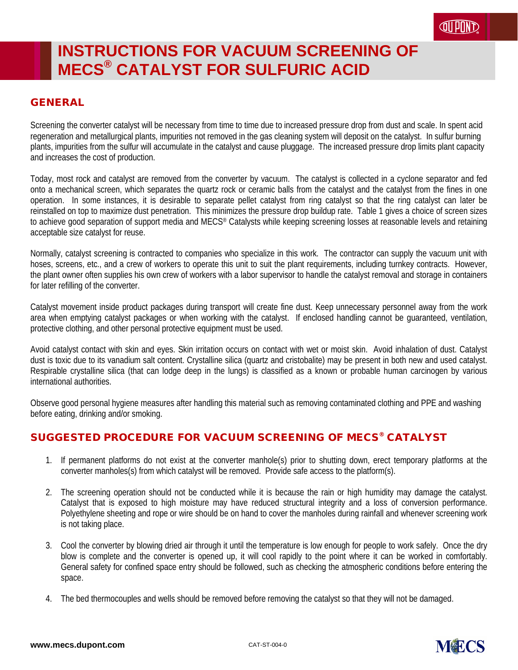#### GENERAL

Screening the converter catalyst will be necessary from time to time due to increased pressure drop from dust and scale. In spent acid regeneration and metallurgical plants, impurities not removed in the gas cleaning system will deposit on the catalyst. In sulfur burning plants, impurities from the sulfur will accumulate in the catalyst and cause pluggage. The increased pressure drop limits plant capacity and increases the cost of production.

Today, most rock and catalyst are removed from the converter by vacuum. The catalyst is collected in a cyclone separator and fed onto a mechanical screen, which separates the quartz rock or ceramic balls from the catalyst and the catalyst from the fines in one operation. In some instances, it is desirable to separate pellet catalyst from ring catalyst so that the ring catalyst can later be reinstalled on top to maximize dust penetration. This minimizes the pressure drop buildup rate. Table 1 gives a choice of screen sizes to achieve good separation of support media and MECS® Catalysts while keeping screening losses at reasonable levels and retaining acceptable size catalyst for reuse.

Normally, catalyst screening is contracted to companies who specialize in this work. The contractor can supply the vacuum unit with hoses, screens, etc., and a crew of workers to operate this unit to suit the plant requirements, including turnkey contracts. However, the plant owner often supplies his own crew of workers with a labor supervisor to handle the catalyst removal and storage in containers for later refilling of the converter.

Catalyst movement inside product packages during transport will create fine dust. Keep unnecessary personnel away from the work area when emptying catalyst packages or when working with the catalyst. If enclosed handling cannot be guaranteed, ventilation, protective clothing, and other personal protective equipment must be used.

Avoid catalyst contact with skin and eyes. Skin irritation occurs on contact with wet or moist skin. Avoid inhalation of dust. Catalyst dust is toxic due to its vanadium salt content. Crystalline silica (quartz and cristobalite) may be present in both new and used catalyst. Respirable crystalline silica (that can lodge deep in the lungs) is classified as a known or probable human carcinogen by various international authorities.

Observe good personal hygiene measures after handling this material such as removing contaminated clothing and PPE and washing before eating, drinking and/or smoking.

#### SUGGESTED PROCEDURE FOR VACUUM SCREENING OF MECS® CATALYST

- 1. If permanent platforms do not exist at the converter manhole(s) prior to shutting down, erect temporary platforms at the converter manholes(s) from which catalyst will be removed. Provide safe access to the platform(s).
- 2. The screening operation should not be conducted while it is because the rain or high humidity may damage the catalyst. Catalyst that is exposed to high moisture may have reduced structural integrity and a loss of conversion performance. Polyethylene sheeting and rope or wire should be on hand to cover the manholes during rainfall and whenever screening work is not taking place.
- 3. Cool the converter by blowing dried air through it until the temperature is low enough for people to work safely. Once the dry blow is complete and the converter is opened up, it will cool rapidly to the point where it can be worked in comfortably. General safety for confined space entry should be followed, such as checking the atmospheric conditions before entering the space.
- 4. The bed thermocouples and wells should be removed before removing the catalyst so that they will not be damaged.

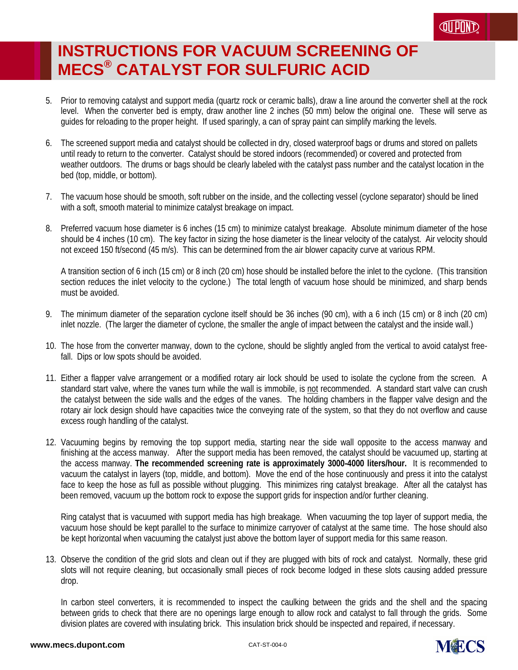- 5. Prior to removing catalyst and support media (quartz rock or ceramic balls), draw a line around the converter shell at the rock level. When the converter bed is empty, draw another line 2 inches (50 mm) below the original one. These will serve as guides for reloading to the proper height. If used sparingly, a can of spray paint can simplify marking the levels.
- 6. The screened support media and catalyst should be collected in dry, closed waterproof bags or drums and stored on pallets until ready to return to the converter. Catalyst should be stored indoors (recommended) or covered and protected from weather outdoors. The drums or bags should be clearly labeled with the catalyst pass number and the catalyst location in the bed (top, middle, or bottom).
- 7. The vacuum hose should be smooth, soft rubber on the inside, and the collecting vessel (cyclone separator) should be lined with a soft, smooth material to minimize catalyst breakage on impact.
- 8. Preferred vacuum hose diameter is 6 inches (15 cm) to minimize catalyst breakage. Absolute minimum diameter of the hose should be 4 inches (10 cm). The key factor in sizing the hose diameter is the linear velocity of the catalyst. Air velocity should not exceed 150 ft/second (45 m/s). This can be determined from the air blower capacity curve at various RPM.

A transition section of 6 inch (15 cm) or 8 inch (20 cm) hose should be installed before the inlet to the cyclone. (This transition section reduces the inlet velocity to the cyclone.) The total length of vacuum hose should be minimized, and sharp bends must be avoided.

- 9. The minimum diameter of the separation cyclone itself should be 36 inches (90 cm), with a 6 inch (15 cm) or 8 inch (20 cm) inlet nozzle. (The larger the diameter of cyclone, the smaller the angle of impact between the catalyst and the inside wall.)
- 10. The hose from the converter manway, down to the cyclone, should be slightly angled from the vertical to avoid catalyst freefall. Dips or low spots should be avoided.
- 11. Either a flapper valve arrangement or a modified rotary air lock should be used to isolate the cyclone from the screen. A standard start valve, where the vanes turn while the wall is immobile, is not recommended. A standard start valve can crush the catalyst between the side walls and the edges of the vanes. The holding chambers in the flapper valve design and the rotary air lock design should have capacities twice the conveying rate of the system, so that they do not overflow and cause excess rough handling of the catalyst.
- 12. Vacuuming begins by removing the top support media, starting near the side wall opposite to the access manway and finishing at the access manway. After the support media has been removed, the catalyst should be vacuumed up, starting at the access manway. **The recommended screening rate is approximately 3000-4000 liters/hour.** It is recommended to vacuum the catalyst in layers (top, middle, and bottom). Move the end of the hose continuously and press it into the catalyst face to keep the hose as full as possible without plugging. This minimizes ring catalyst breakage. After all the catalyst has been removed, vacuum up the bottom rock to expose the support grids for inspection and/or further cleaning.

Ring catalyst that is vacuumed with support media has high breakage. When vacuuming the top layer of support media, the vacuum hose should be kept parallel to the surface to minimize carryover of catalyst at the same time. The hose should also be kept horizontal when vacuuming the catalyst just above the bottom layer of support media for this same reason.

13. Observe the condition of the grid slots and clean out if they are plugged with bits of rock and catalyst. Normally, these grid slots will not require cleaning, but occasionally small pieces of rock become lodged in these slots causing added pressure drop.

In carbon steel converters, it is recommended to inspect the caulking between the grids and the shell and the spacing between grids to check that there are no openings large enough to allow rock and catalyst to fall through the grids. Some division plates are covered with insulating brick. This insulation brick should be inspected and repaired, if necessary.

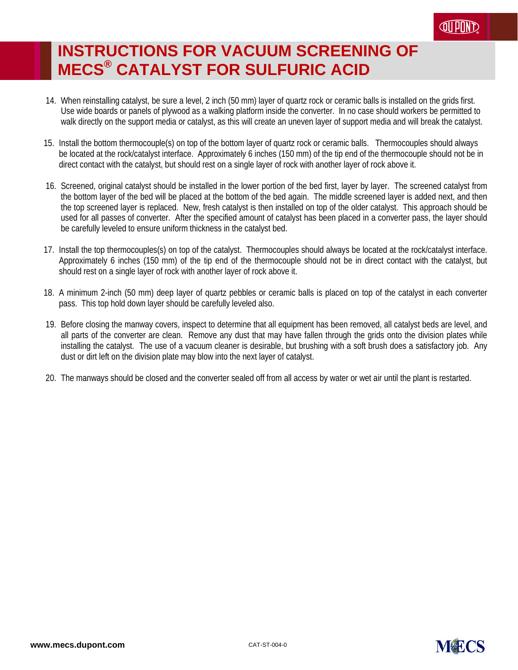- 14. When reinstalling catalyst, be sure a level, 2 inch (50 mm) layer of quartz rock or ceramic balls is installed on the grids first. Use wide boards or panels of plywood as a walking platform inside the converter. In no case should workers be permitted to walk directly on the support media or catalyst, as this will create an uneven layer of support media and will break the catalyst.
- 15. Install the bottom thermocouple(s) on top of the bottom layer of quartz rock or ceramic balls. Thermocouples should always be located at the rock/catalyst interface. Approximately 6 inches (150 mm) of the tip end of the thermocouple should not be in direct contact with the catalyst, but should rest on a single layer of rock with another layer of rock above it.
- 16. Screened, original catalyst should be installed in the lower portion of the bed first, layer by layer. The screened catalyst from the bottom layer of the bed will be placed at the bottom of the bed again. The middle screened layer is added next, and then the top screened layer is replaced. New, fresh catalyst is then installed on top of the older catalyst. This approach should be used for all passes of converter. After the specified amount of catalyst has been placed in a converter pass, the layer should be carefully leveled to ensure uniform thickness in the catalyst bed.
- 17. Install the top thermocouples(s) on top of the catalyst. Thermocouples should always be located at the rock/catalyst interface. Approximately 6 inches (150 mm) of the tip end of the thermocouple should not be in direct contact with the catalyst, but should rest on a single layer of rock with another layer of rock above it.
- 18. A minimum 2-inch (50 mm) deep layer of quartz pebbles or ceramic balls is placed on top of the catalyst in each converter pass. This top hold down layer should be carefully leveled also.
- 19. Before closing the manway covers, inspect to determine that all equipment has been removed, all catalyst beds are level, and all parts of the converter are clean. Remove any dust that may have fallen through the grids onto the division plates while installing the catalyst. The use of a vacuum cleaner is desirable, but brushing with a soft brush does a satisfactory job. Any dust or dirt left on the division plate may blow into the next layer of catalyst.
- 20. The manways should be closed and the converter sealed off from all access by water or wet air until the plant is restarted.